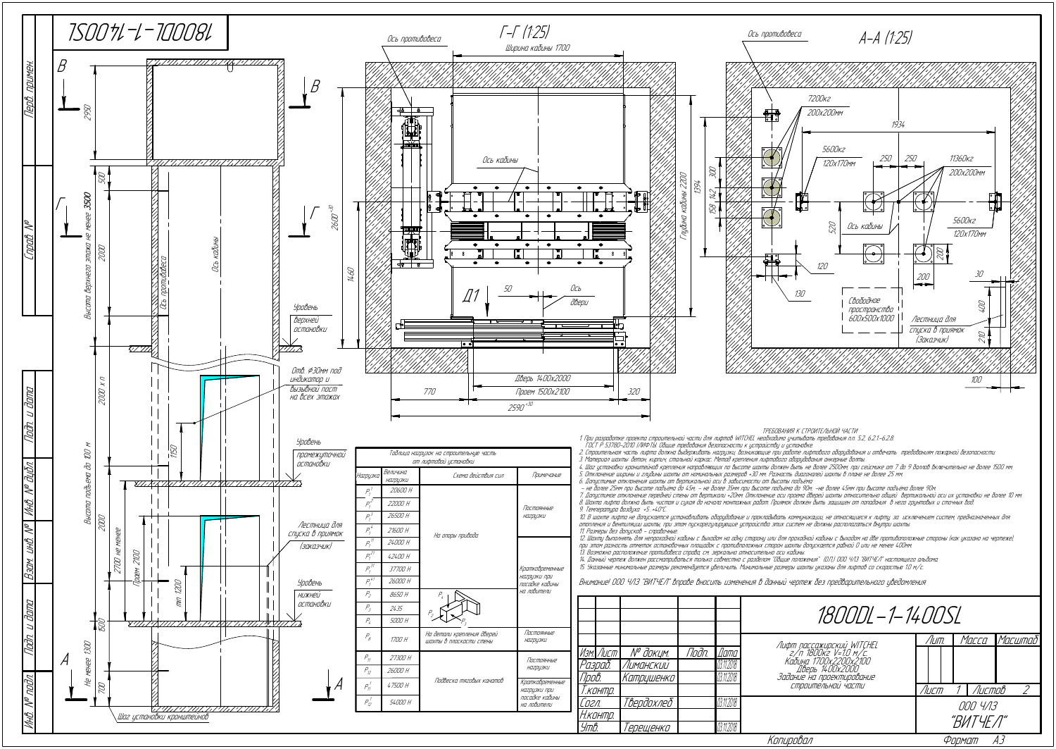| 1800DL-1-1400SL                                                                                   |                      |  |  |  |          |                |
|---------------------------------------------------------------------------------------------------|----------------------|--|--|--|----------|----------------|
|                                                                                                   | Лит.                 |  |  |  |          | Масса  Масштаб |
| Лифт пассажирский WITCHEL<br>2/п 1800кг V=1.0 м/с.<br>Кабина 1700х2200х2100<br>СТРОИТЕЛЬНОИ ЧАСТИ |                      |  |  |  |          |                |
|                                                                                                   | Лист                 |  |  |  | 1 Листов |                |
|                                                                                                   | 000 4/13<br>"ВИТЧЕЛ" |  |  |  |          |                |
| Копировал                                                                                         |                      |  |  |  |          |                |